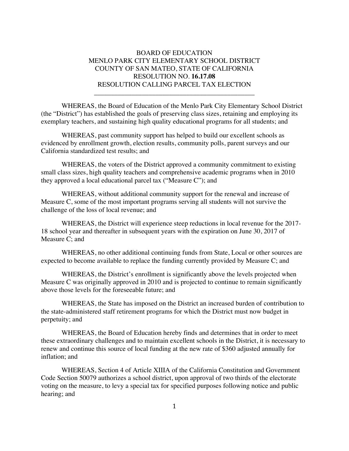## BOARD OF EDUCATION MENLO PARK CITY ELEMENTARY SCHOOL DISTRICT COUNTY OF SAN MATEO, STATE OF CALIFORNIA RESOLUTION NO. **16.17.08** RESOLUTION CALLING PARCEL TAX ELECTION

\_\_\_\_\_\_\_\_\_\_\_\_\_\_\_\_\_\_\_\_\_\_\_\_\_\_\_\_\_\_\_\_\_\_\_\_\_\_\_\_\_\_\_\_\_\_\_

WHEREAS, the Board of Education of the Menlo Park City Elementary School District (the "District") has established the goals of preserving class sizes, retaining and employing its exemplary teachers, and sustaining high quality educational programs for all students; and

WHEREAS, past community support has helped to build our excellent schools as evidenced by enrollment growth, election results, community polls, parent surveys and our California standardized test results; and

WHEREAS, the voters of the District approved a community commitment to existing small class sizes, high quality teachers and comprehensive academic programs when in 2010 they approved a local educational parcel tax ("Measure C"); and

WHEREAS, without additional community support for the renewal and increase of Measure C, some of the most important programs serving all students will not survive the challenge of the loss of local revenue; and

WHEREAS, the District will experience steep reductions in local revenue for the 2017- 18 school year and thereafter in subsequent years with the expiration on June 30, 2017 of Measure C; and

WHEREAS, no other additional continuing funds from State, Local or other sources are expected to become available to replace the funding currently provided by Measure C; and

WHEREAS, the District's enrollment is significantly above the levels projected when Measure C was originally approved in 2010 and is projected to continue to remain significantly above those levels for the foreseeable future; and

WHEREAS, the State has imposed on the District an increased burden of contribution to the state-administered staff retirement programs for which the District must now budget in perpetuity; and

WHEREAS, the Board of Education hereby finds and determines that in order to meet these extraordinary challenges and to maintain excellent schools in the District, it is necessary to renew and continue this source of local funding at the new rate of \$360 adjusted annually for inflation; and

WHEREAS, Section 4 of Article XIIIA of the California Constitution and Government Code Section 50079 authorizes a school district, upon approval of two thirds of the electorate voting on the measure, to levy a special tax for specified purposes following notice and public hearing; and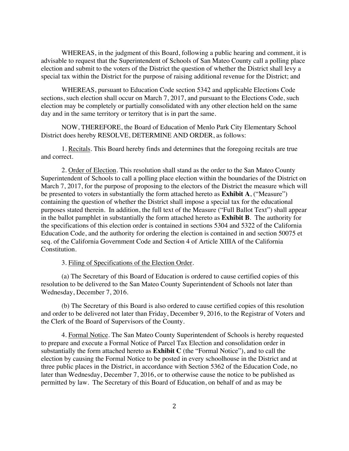WHEREAS, in the judgment of this Board, following a public hearing and comment, it is advisable to request that the Superintendent of Schools of San Mateo County call a polling place election and submit to the voters of the District the question of whether the District shall levy a special tax within the District for the purpose of raising additional revenue for the District; and

WHEREAS, pursuant to Education Code section 5342 and applicable Elections Code sections, such election shall occur on March 7, 2017, and pursuant to the Elections Code, such election may be completely or partially consolidated with any other election held on the same day and in the same territory or territory that is in part the same.

NOW, THEREFORE, the Board of Education of Menlo Park City Elementary School District does hereby RESOLVE, DETERMINE AND ORDER, as follows:

1. Recitals. This Board hereby finds and determines that the foregoing recitals are true and correct.

2. Order of Election. This resolution shall stand as the order to the San Mateo County Superintendent of Schools to call a polling place election within the boundaries of the District on March 7, 2017, for the purpose of proposing to the electors of the District the measure which will be presented to voters in substantially the form attached hereto as **Exhibit A**, ("Measure") containing the question of whether the District shall impose a special tax for the educational purposes stated therein. In addition, the full text of the Measure ("Full Ballot Text") shall appear in the ballot pamphlet in substantially the form attached hereto as **Exhibit B**. The authority for the specifications of this election order is contained in sections 5304 and 5322 of the California Education Code, and the authority for ordering the election is contained in and section 50075 et seq. of the California Government Code and Section 4 of Article XIIIA of the California Constitution.

3. Filing of Specifications of the Election Order.

(a) The Secretary of this Board of Education is ordered to cause certified copies of this resolution to be delivered to the San Mateo County Superintendent of Schools not later than Wednesday, December 7, 2016.

(b) The Secretary of this Board is also ordered to cause certified copies of this resolution and order to be delivered not later than Friday, December 9, 2016, to the Registrar of Voters and the Clerk of the Board of Supervisors of the County.

4. Formal Notice. The San Mateo County Superintendent of Schools is hereby requested to prepare and execute a Formal Notice of Parcel Tax Election and consolidation order in substantially the form attached hereto as **Exhibit C** (the "Formal Notice"), and to call the election by causing the Formal Notice to be posted in every schoolhouse in the District and at three public places in the District, in accordance with Section 5362 of the Education Code, no later than Wednesday, December 7, 2016, or to otherwise cause the notice to be published as permitted by law. The Secretary of this Board of Education, on behalf of and as may be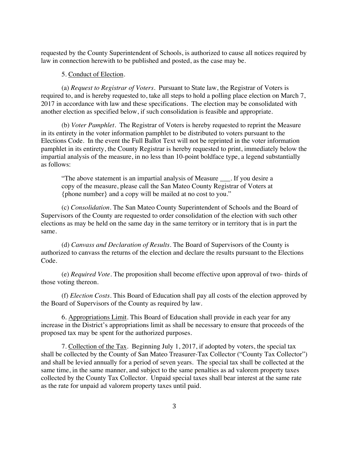requested by the County Superintendent of Schools, is authorized to cause all notices required by law in connection herewith to be published and posted, as the case may be.

#### 5. Conduct of Election.

(a) *Request to Registrar of Voters.* Pursuant to State law, the Registrar of Voters is required to, and is hereby requested to, take all steps to hold a polling place election on March 7, 2017 in accordance with law and these specifications. The election may be consolidated with another election as specified below, if such consolidation is feasible and appropriate.

(b) *Voter Pamphlet.* The Registrar of Voters is hereby requested to reprint the Measure in its entirety in the voter information pamphlet to be distributed to voters pursuant to the Elections Code. In the event the Full Ballot Text will not be reprinted in the voter information pamphlet in its entirety, the County Registrar is hereby requested to print, immediately below the impartial analysis of the measure, in no less than 10-point boldface type, a legend substantially as follows:

"The above statement is an impartial analysis of Measure \_\_\_. If you desire a copy of the measure, please call the San Mateo County Registrar of Voters at {phone number} and a copy will be mailed at no cost to you."

(c) *Consolidation.* The San Mateo County Superintendent of Schools and the Board of Supervisors of the County are requested to order consolidation of the election with such other elections as may be held on the same day in the same territory or in territory that is in part the same.

(d) *Canvass and Declaration of Results.* The Board of Supervisors of the County is authorized to canvass the returns of the election and declare the results pursuant to the Elections Code.

(e) *Required Vote.* The proposition shall become effective upon approval of two- thirds of those voting thereon.

(f) *Election Costs*. This Board of Education shall pay all costs of the election approved by the Board of Supervisors of the County as required by law.

6. Appropriations Limit. This Board of Education shall provide in each year for any increase in the District's appropriations limit as shall be necessary to ensure that proceeds of the proposed tax may be spent for the authorized purposes.

7. Collection of the Tax. Beginning July 1, 2017, if adopted by voters, the special tax shall be collected by the County of San Mateo Treasurer-Tax Collector ("County Tax Collector") and shall be levied annually for a period of seven years. The special tax shall be collected at the same time, in the same manner, and subject to the same penalties as ad valorem property taxes collected by the County Tax Collector. Unpaid special taxes shall bear interest at the same rate as the rate for unpaid ad valorem property taxes until paid.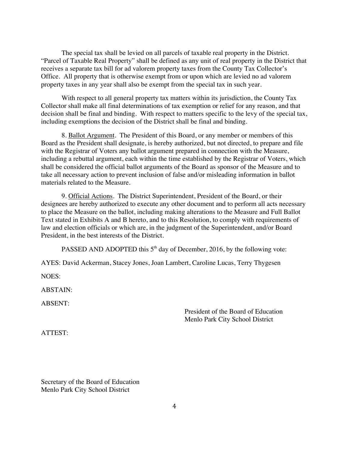The special tax shall be levied on all parcels of taxable real property in the District. "Parcel of Taxable Real Property" shall be defined as any unit of real property in the District that receives a separate tax bill for ad valorem property taxes from the County Tax Collector's Office. All property that is otherwise exempt from or upon which are levied no ad valorem property taxes in any year shall also be exempt from the special tax in such year.

With respect to all general property tax matters within its jurisdiction, the County Tax Collector shall make all final determinations of tax exemption or relief for any reason, and that decision shall be final and binding. With respect to matters specific to the levy of the special tax, including exemptions the decision of the District shall be final and binding.

8. Ballot Argument. The President of this Board, or any member or members of this Board as the President shall designate, is hereby authorized, but not directed, to prepare and file with the Registrar of Voters any ballot argument prepared in connection with the Measure, including a rebuttal argument, each within the time established by the Registrar of Voters, which shall be considered the official ballot arguments of the Board as sponsor of the Measure and to take all necessary action to prevent inclusion of false and/or misleading information in ballot materials related to the Measure.

9. Official Actions. The District Superintendent, President of the Board, or their designees are hereby authorized to execute any other document and to perform all acts necessary to place the Measure on the ballot, including making alterations to the Measure and Full Ballot Text stated in Exhibits A and B hereto, and to this Resolution, to comply with requirements of law and election officials or which are, in the judgment of the Superintendent, and/or Board President, in the best interests of the District.

PASSED AND ADOPTED this  $5<sup>th</sup>$  day of December, 2016, by the following vote:

AYES: David Ackerman, Stacey Jones, Joan Lambert, Caroline Lucas, Terry Thygesen

NOES:

ABSTAIN:

ABSENT:

President of the Board of Education Menlo Park City School District

ATTEST:

Secretary of the Board of Education Menlo Park City School District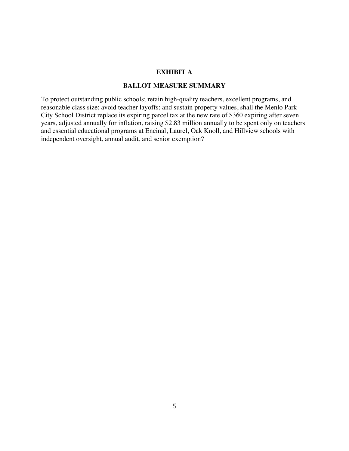### **EXHIBIT A**

### **BALLOT MEASURE SUMMARY**

To protect outstanding public schools; retain high-quality teachers, excellent programs, and reasonable class size; avoid teacher layoffs; and sustain property values, shall the Menlo Park City School District replace its expiring parcel tax at the new rate of \$360 expiring after seven years, adjusted annually for inflation, raising \$2.83 million annually to be spent only on teachers and essential educational programs at Encinal, Laurel, Oak Knoll, and Hillview schools with independent oversight, annual audit, and senior exemption?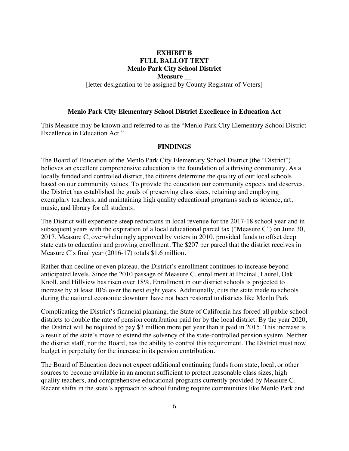# **EXHIBIT B FULL BALLOT TEXT Menlo Park City School District**

**Measure \_\_**

[letter designation to be assigned by County Registrar of Voters]

#### **Menlo Park City Elementary School District Excellence in Education Act**

This Measure may be known and referred to as the "Menlo Park City Elementary School District Excellence in Education Act."

#### **FINDINGS**

The Board of Education of the Menlo Park City Elementary School District (the "District") believes an excellent comprehensive education is the foundation of a thriving community. As a locally funded and controlled district, the citizens determine the quality of our local schools based on our community values. To provide the education our community expects and deserves, the District has established the goals of preserving class sizes, retaining and employing exemplary teachers, and maintaining high quality educational programs such as science, art, music, and library for all students.

The District will experience steep reductions in local revenue for the 2017-18 school year and in subsequent years with the expiration of a local educational parcel tax ("Measure C") on June 30, 2017. Measure C, overwhelmingly approved by voters in 2010, provided funds to offset deep state cuts to education and growing enrollment. The \$207 per parcel that the district receives in Measure C's final year (2016-17) totals \$1.6 million.

Rather than decline or even plateau, the District's enrollment continues to increase beyond anticipated levels. Since the 2010 passage of Measure C, enrollment at Encinal, Laurel, Oak Knoll, and Hillview has risen over 18%. Enrollment in our district schools is projected to increase by at least 10% over the next eight years. Additionally, cuts the state made to schools during the national economic downturn have not been restored to districts like Menlo Park

Complicating the District's financial planning, the State of California has forced all public school districts to double the rate of pension contribution paid for by the local district. By the year 2020, the District will be required to pay \$3 million more per year than it paid in 2015. This increase is a result of the state's move to extend the solvency of the state-controlled pension system. Neither the district staff, nor the Board, has the ability to control this requirement. The District must now budget in perpetuity for the increase in its pension contribution.

The Board of Education does not expect additional continuing funds from state, local, or other sources to become available in an amount sufficient to protect reasonable class sizes, high quality teachers, and comprehensive educational programs currently provided by Measure C. Recent shifts in the state's approach to school funding require communities like Menlo Park and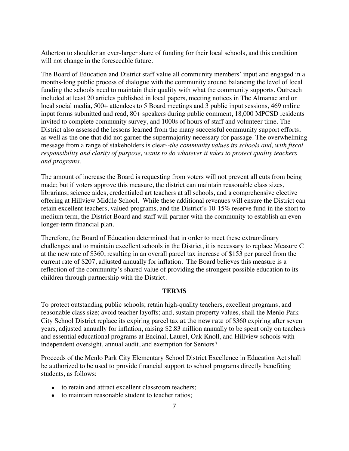Atherton to shoulder an ever-larger share of funding for their local schools, and this condition will not change in the foreseeable future.

The Board of Education and District staff value all community members' input and engaged in a months-long public process of dialogue with the community around balancing the level of local funding the schools need to maintain their quality with what the community supports. Outreach included at least 20 articles published in local papers, meeting notices in The Almanac and on local social media, 500+ attendees to 5 Board meetings and 3 public input sessions, 469 online input forms submitted and read, 80+ speakers during public comment, 18,000 MPCSD residents invited to complete community survey, and 1000s of hours of staff and volunteer time. The District also assessed the lessons learned from the many successful community support efforts, as well as the one that did not garner the supermajority necessary for passage. The overwhelming message from a range of stakeholders is clear--*the community values its schools and, with fiscal responsibility and clarity of purpose, wants to do whatever it takes to protect quality teachers and programs*.

The amount of increase the Board is requesting from voters will not prevent all cuts from being made; but if voters approve this measure, the district can maintain reasonable class sizes, librarians, science aides, credentialed art teachers at all schools, and a comprehensive elective offering at Hillview Middle School. While these additional revenues will ensure the District can retain excellent teachers, valued programs, and the District's 10-15% reserve fund in the short to medium term, the District Board and staff will partner with the community to establish an even longer-term financial plan.

Therefore, the Board of Education determined that in order to meet these extraordinary challenges and to maintain excellent schools in the District, it is necessary to replace Measure C at the new rate of \$360, resulting in an overall parcel tax increase of \$153 per parcel from the current rate of \$207, adjusted annually for inflation. The Board believes this measure is a reflection of the community's shared value of providing the strongest possible education to its children through partnership with the District.

#### **TERMS**

To protect outstanding public schools; retain high-quality teachers, excellent programs, and reasonable class size; avoid teacher layoffs; and, sustain property values, shall the Menlo Park City School District replace its expiring parcel tax at the new rate of \$360 expiring after seven years, adjusted annually for inflation, raising \$2.83 million annually to be spent only on teachers and essential educational programs at Encinal, Laurel, Oak Knoll, and Hillview schools with independent oversight, annual audit, and exemption for Seniors?

Proceeds of the Menlo Park City Elementary School District Excellence in Education Act shall be authorized to be used to provide financial support to school programs directly benefiting students, as follows:

- to retain and attract excellent classroom teachers;
- to maintain reasonable student to teacher ratios;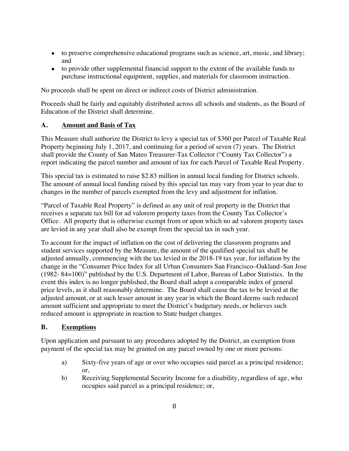- to preserve comprehensive educational programs such as science, art, music, and library; and
- to provide other supplemental financial support to the extent of the available funds to purchase instructional equipment, supplies, and materials for classroom instruction.

No proceeds shall be spent on direct or indirect costs of District administration.

Proceeds shall be fairly and equitably distributed across all schools and students, as the Board of Education of the District shall determine.

## **A. Amount and Basis of Tax**

This Measure shall authorize the District to levy a special tax of \$360 per Parcel of Taxable Real Property beginning July 1, 2017, and continuing for a period of seven (7) years. The District shall provide the County of San Mateo Treasurer-Tax Collector ("County Tax Collector") a report indicating the parcel number and amount of tax for each Parcel of Taxable Real Property.

This special tax is estimated to raise \$2.83 million in annual local funding for District schools. The amount of annual local funding raised by this special tax may vary from year to year due to changes in the number of parcels exempted from the levy and adjustment for inflation.

"Parcel of Taxable Real Property" is defined as any unit of real property in the District that receives a separate tax bill for ad valorem property taxes from the County Tax Collector's Office. All property that is otherwise exempt from or upon which no ad valorem property taxes are levied in any year shall also be exempt from the special tax in such year.

To account for the impact of inflation on the cost of delivering the classroom programs and student services supported by the Measure, the amount of the qualified special tax shall be adjusted annually, commencing with the tax levied in the 2018-19 tax year, for inflation by the change in the "Consumer Price Index for all Urban Consumers San Francisco–Oakland–San Jose (1982- 84=100)" published by the U.S. Department of Labor, Bureau of Labor Statistics. In the event this index is no longer published, the Board shall adopt a comparable index of general price levels, as it shall reasonably determine. The Board shall cause the tax to be levied at the adjusted amount, or at such lesser amount in any year in which the Board deems such reduced amount sufficient and appropriate to meet the District's budgetary needs, or believes such reduced amount is appropriate in reaction to State budget changes.

### **B. Exemptions**

Upon application and pursuant to any procedures adopted by the District, an exemption from payment of the special tax may be granted on any parcel owned by one or more persons:

- a) Sixty-five years of age or over who occupies said parcel as a principal residence; or,
- b) Receiving Supplemental Security Income for a disability, regardless of age, who occupies said parcel as a principal residence; or,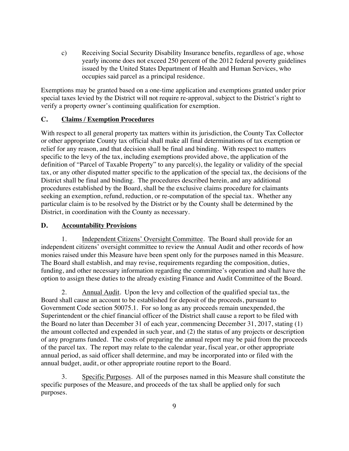c) Receiving Social Security Disability Insurance benefits, regardless of age, whose yearly income does not exceed 250 percent of the 2012 federal poverty guidelines issued by the United States Department of Health and Human Services, who occupies said parcel as a principal residence.

Exemptions may be granted based on a one-time application and exemptions granted under prior special taxes levied by the District will not require re-approval, subject to the District's right to verify a property owner's continuing qualification for exemption.

## **C. Claims / Exemption Procedures**

With respect to all general property tax matters within its jurisdiction, the County Tax Collector or other appropriate County tax official shall make all final determinations of tax exemption or relief for any reason, and that decision shall be final and binding. With respect to matters specific to the levy of the tax, including exemptions provided above, the application of the definition of "Parcel of Taxable Property" to any parcel(s), the legality or validity of the special tax, or any other disputed matter specific to the application of the special tax, the decisions of the District shall be final and binding. The procedures described herein, and any additional procedures established by the Board, shall be the exclusive claims procedure for claimants seeking an exemption, refund, reduction, or re-computation of the special tax. Whether any particular claim is to be resolved by the District or by the County shall be determined by the District, in coordination with the County as necessary.

## **D. Accountability Provisions**

Independent Citizens' Oversight Committee. The Board shall provide for an independent citizens' oversight committee to review the Annual Audit and other records of how monies raised under this Measure have been spent only for the purposes named in this Measure. The Board shall establish, and may revise, requirements regarding the composition, duties, funding, and other necessary information regarding the committee's operation and shall have the option to assign these duties to the already existing Finance and Audit Committee of the Board.

2. Annual Audit. Upon the levy and collection of the qualified special tax, the Board shall cause an account to be established for deposit of the proceeds, pursuant to Government Code section 50075.1. For so long as any proceeds remain unexpended, the Superintendent or the chief financial officer of the District shall cause a report to be filed with the Board no later than December 31 of each year, commencing December 31, 2017, stating (1) the amount collected and expended in such year, and (2) the status of any projects or description of any programs funded. The costs of preparing the annual report may be paid from the proceeds of the parcel tax. The report may relate to the calendar year, fiscal year, or other appropriate annual period, as said officer shall determine, and may be incorporated into or filed with the annual budget, audit, or other appropriate routine report to the Board.

3. Specific Purposes. All of the purposes named in this Measure shall constitute the specific purposes of the Measure, and proceeds of the tax shall be applied only for such purposes.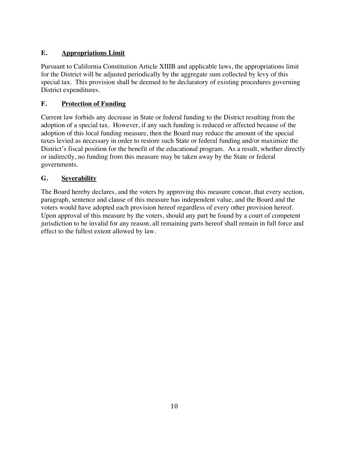# **E. Appropriations Limit**

Pursuant to California Constitution Article XIIIB and applicable laws, the appropriations limit for the District will be adjusted periodically by the aggregate sum collected by levy of this special tax. This provision shall be deemed to be declaratory of existing procedures governing District expenditures.

# **F. Protection of Funding**

Current law forbids any decrease in State or federal funding to the District resulting from the adoption of a special tax. However, if any such funding is reduced or affected because of the adoption of this local funding measure, then the Board may reduce the amount of the special taxes levied as necessary in order to restore such State or federal funding and/or maximize the District's fiscal position for the benefit of the educational program. As a result, whether directly or indirectly, no funding from this measure may be taken away by the State or federal governments.

# **G. Severability**

The Board hereby declares, and the voters by approving this measure concur, that every section, paragraph, sentence and clause of this measure has independent value, and the Board and the voters would have adopted each provision hereof regardless of every other provision hereof. Upon approval of this measure by the voters, should any part be found by a court of competent jurisdiction to be invalid for any reason, all remaining parts hereof shall remain in full force and effect to the fullest extent allowed by law.